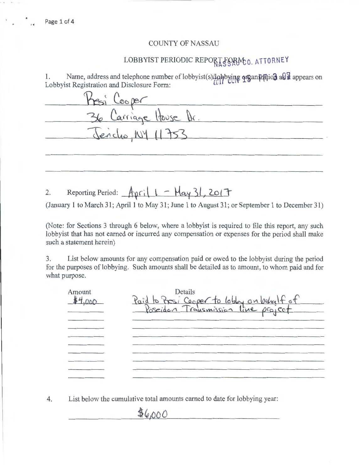## COUNTY OF NASSAU

## LOBBYIST PERIODIC REPORT FORM O. ATTORNEY

1. Name, address and telephone number of lobbyist(s) lobbying organization as it appears on Lobbyist Registration and Disclosure Form:

| Presi Cooper          |
|-----------------------|
| 36 Carriage House Dr. |
| Jencho, NY 11753      |
|                       |
|                       |

2. Reporting Period:  $\Lambda_{\text{pr}}(1 - \text{May } 31, 201$ 

(January 1 to March 31; April 1 to May 31; June 1 to August 31; or September 1 to December 31)

(Note: for Sections 3 through 6 below, where a lobbyist is required to file this report, any such lobbyist that has not earned or incurred any compensation or expenses for the period shall make such a statement herein)

3. List below amounts for any compensation paid or owed to the lobbyist during the period for the purposes of lobbying. Such amounts shall be detailed as to amount, to whom paid and for what purpose.

| Amount<br>14,000 | Details<br>Paid to Presi Cooper to lobby on behalf of |
|------------------|-------------------------------------------------------|
|                  |                                                       |
|                  |                                                       |
|                  |                                                       |

4. List below the cumulative total amounts earned to date for lobbying year:

 $46,000$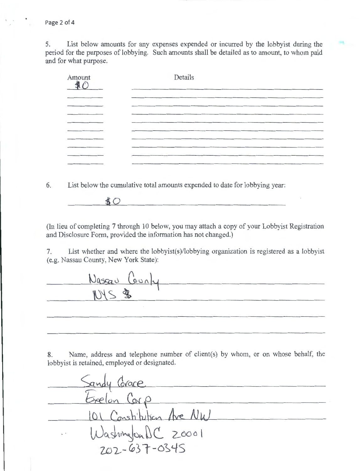5. List below amounts for any expenses expended or incurred by the lobbyist during the period for the purposes of lobbying. Such amounts shall be detailed as to amount, to whom paid and for what purpose.

| Amount | Details |
|--------|---------|
|        |         |
|        |         |
|        |         |
|        |         |
|        |         |
| _____  |         |
|        |         |
| ______ |         |
|        |         |

6. List below the cumulative total amounts expended to date for lobbying year:

 $$O$ 

(In lieu of completing 7 through 10 below, you may attach a copy of your Lobbyist Registration and Disclosure Form, provided the information has not changed.)

7. List whether and where the lobbyist(s)/lobbying organization is registered as a lobbyist (e.g. Nassau County, New York State):

Nascar Cornly

8. Name, address and telephone number of client(s) by whom, or on whose behalf, the lobbyist is retained, employed or designated.

Sandy Corace<br>Exelon Corp 101 Constitution Are NW  $WashmS$  20001 $702 - 637 - 0345$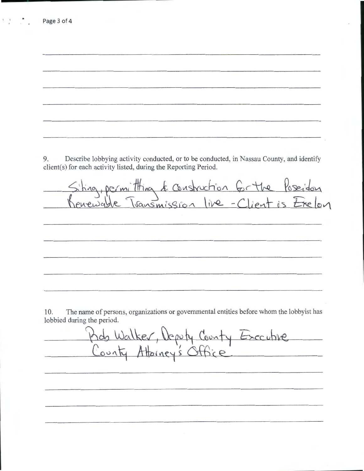9. Describe lobbying activity conducted, or to be conducted, in Nassau County, and identify client(s) for each activity listed, during the Reporting Period. Siting, permitting & construction for the Poseidon<br>Renewable Transmission live - Client is Exelon

Page 3 of 4

10. The name of persons, organizations or governmental entities before whom the lobbyist has lobbied during the period.

Kds Walker, Deputy County Executive County Attorney's Office